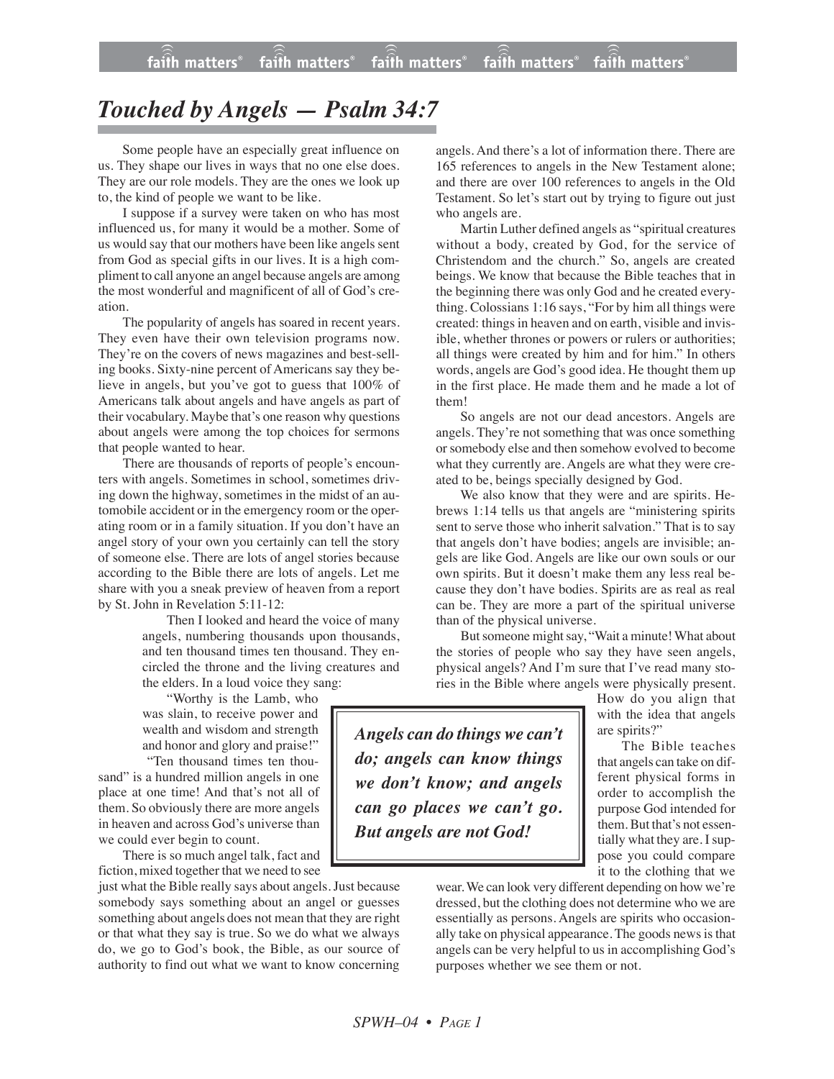## *Touched by Angels — Psalm 34:7*

Some people have an especially great influence on us. They shape our lives in ways that no one else does. They are our role models. They are the ones we look up to, the kind of people we want to be like.

I suppose if a survey were taken on who has most influenced us, for many it would be a mother. Some of us would say that our mothers have been like angels sent from God as special gifts in our lives. It is a high compliment to call anyone an angel because angels are among the most wonderful and magnificent of all of God's creation.

The popularity of angels has soared in recent years. They even have their own television programs now. They're on the covers of news magazines and best-selling books. Sixty-nine percent of Americans say they believe in angels, but you've got to guess that 100% of Americans talk about angels and have angels as part of their vocabulary. Maybe that's one reason why questions about angels were among the top choices for sermons that people wanted to hear.

There are thousands of reports of people's encounters with angels. Sometimes in school, sometimes driving down the highway, sometimes in the midst of an automobile accident or in the emergency room or the operating room or in a family situation. If you don't have an angel story of your own you certainly can tell the story of someone else. There are lots of angel stories because according to the Bible there are lots of angels. Let me share with you a sneak preview of heaven from a report by St. John in Revelation 5:11-12:

> Then I looked and heard the voice of many angels, numbering thousands upon thousands, and ten thousand times ten thousand. They encircled the throne and the living creatures and the elders. In a loud voice they sang:

"Worthy is the Lamb, who was slain, to receive power and wealth and wisdom and strength and honor and glory and praise!" "Ten thousand times ten thou-

sand" is a hundred million angels in one place at one time! And that's not all of them. So obviously there are more angels in heaven and across God's universe than we could ever begin to count.

There is so much angel talk, fact and fiction, mixed together that we need to see

just what the Bible really says about angels.Just because somebody says something about an angel or guesses something about angels does not mean that they are right or that what they say is true. So we do what we always do, we go to God's book, the Bible, as our source of authority to find out what we want to know concerning

angels. And there's a lot of information there. There are 165 references to angels in the New Testament alone; and there are over 100 references to angels in the Old Testament. So let's start out by trying to figure out just who angels are.

Martin Luther defined angels as "spiritual creatures without a body, created by God, for the service of Christendom and the church." So, angels are created beings. We know that because the Bible teaches that in the beginning there was only God and he created everything. Colossians 1:16 says, "For by him all things were created: things in heaven and on earth, visible and invisible, whether thrones or powers or rulers or authorities; all things were created by him and for him." In others words, angels are God's good idea. He thought them up in the first place. He made them and he made a lot of them!

So angels are not our dead ancestors. Angels are angels. They're not something that was once something or somebody else and then somehow evolved to become what they currently are. Angels are what they were created to be, beings specially designed by God.

We also know that they were and are spirits. Hebrews 1:14 tells us that angels are "ministering spirits sent to serve those who inherit salvation." That is to say that angels don't have bodies; angels are invisible; angels are like God. Angels are like our own souls or our own spirits. But it doesn't make them any less real because they don't have bodies. Spirits are as real as real can be. They are more a part of the spiritual universe than of the physical universe.

But someone might say, "Wait a minute! What about the stories of people who say they have seen angels, physical angels? And I'm sure that I've read many stories in the Bible where angels were physically present.

*Angels can do things we can't do; angels can know things we don't know; and angels can go places we can't go. But angels are not God!*

How do you align that with the idea that angels are spirits?"

The Bible teaches that angels can take on different physical forms in order to accomplish the purpose God intended for them. But that's not essentially what they are. I suppose you could compare it to the clothing that we

wear. We can look very different depending on how we're dressed, but the clothing does not determine who we are essentially as persons. Angels are spirits who occasionally take on physical appearance. The goods news is that angels can be very helpful to us in accomplishing God's purposes whether we see them or not.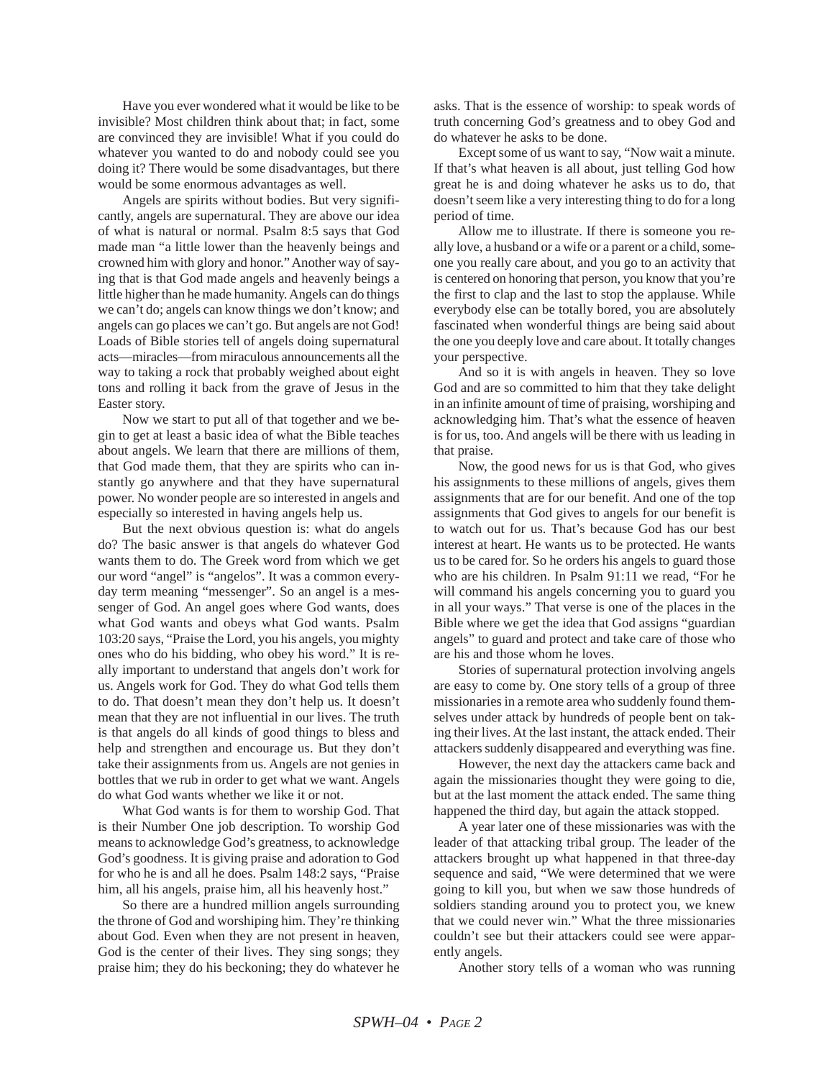Have you ever wondered what it would be like to be invisible? Most children think about that; in fact, some are convinced they are invisible! What if you could do whatever you wanted to do and nobody could see you doing it? There would be some disadvantages, but there would be some enormous advantages as well.

Angels are spirits without bodies. But very significantly, angels are supernatural. They are above our idea of what is natural or normal. Psalm 8:5 says that God made man "a little lower than the heavenly beings and crowned him with glory and honor." Another way of saying that is that God made angels and heavenly beings a little higher than he made humanity. Angels can do things we can't do; angels can know things we don't know; and angels can go places we can't go. But angels are not God! Loads of Bible stories tell of angels doing supernatural acts—miracles—from miraculous announcements all the way to taking a rock that probably weighed about eight tons and rolling it back from the grave of Jesus in the Easter story.

Now we start to put all of that together and we begin to get at least a basic idea of what the Bible teaches about angels. We learn that there are millions of them, that God made them, that they are spirits who can instantly go anywhere and that they have supernatural power. No wonder people are so interested in angels and especially so interested in having angels help us.

But the next obvious question is: what do angels do? The basic answer is that angels do whatever God wants them to do. The Greek word from which we get our word "angel" is "angelos". It was a common everyday term meaning "messenger". So an angel is a messenger of God. An angel goes where God wants, does what God wants and obeys what God wants. Psalm 103:20 says, "Praise the Lord, you his angels, you mighty ones who do his bidding, who obey his word." It is really important to understand that angels don't work for us. Angels work for God. They do what God tells them to do. That doesn't mean they don't help us. It doesn't mean that they are not influential in our lives. The truth is that angels do all kinds of good things to bless and help and strengthen and encourage us. But they don't take their assignments from us. Angels are not genies in bottles that we rub in order to get what we want. Angels do what God wants whether we like it or not.

What God wants is for them to worship God. That is their Number One job description. To worship God means to acknowledge God's greatness, to acknowledge God's goodness. It is giving praise and adoration to God for who he is and all he does. Psalm 148:2 says, "Praise him, all his angels, praise him, all his heavenly host."

So there are a hundred million angels surrounding the throne of God and worshiping him. They're thinking about God. Even when they are not present in heaven, God is the center of their lives. They sing songs; they praise him; they do his beckoning; they do whatever he asks. That is the essence of worship: to speak words of truth concerning God's greatness and to obey God and do whatever he asks to be done.

Except some of us want to say, "Now wait a minute. If that's what heaven is all about, just telling God how great he is and doing whatever he asks us to do, that doesn't seem like a very interesting thing to do for a long period of time.

Allow me to illustrate. If there is someone you really love, a husband or a wife or a parent or a child, someone you really care about, and you go to an activity that is centered on honoring that person, you know that you're the first to clap and the last to stop the applause. While everybody else can be totally bored, you are absolutely fascinated when wonderful things are being said about the one you deeply love and care about. It totally changes your perspective.

And so it is with angels in heaven. They so love God and are so committed to him that they take delight in an infinite amount of time of praising, worshiping and acknowledging him. That's what the essence of heaven is for us, too. And angels will be there with us leading in that praise.

Now, the good news for us is that God, who gives his assignments to these millions of angels, gives them assignments that are for our benefit. And one of the top assignments that God gives to angels for our benefit is to watch out for us. That's because God has our best interest at heart. He wants us to be protected. He wants us to be cared for. So he orders his angels to guard those who are his children. In Psalm 91:11 we read, "For he will command his angels concerning you to guard you in all your ways." That verse is one of the places in the Bible where we get the idea that God assigns "guardian angels" to guard and protect and take care of those who are his and those whom he loves.

Stories of supernatural protection involving angels are easy to come by. One story tells of a group of three missionaries in a remote area who suddenly found themselves under attack by hundreds of people bent on taking their lives. At the last instant, the attack ended. Their attackers suddenly disappeared and everything was fine.

However, the next day the attackers came back and again the missionaries thought they were going to die, but at the last moment the attack ended. The same thing happened the third day, but again the attack stopped.

A year later one of these missionaries was with the leader of that attacking tribal group. The leader of the attackers brought up what happened in that three-day sequence and said, "We were determined that we were going to kill you, but when we saw those hundreds of soldiers standing around you to protect you, we knew that we could never win." What the three missionaries couldn't see but their attackers could see were apparently angels.

Another story tells of a woman who was running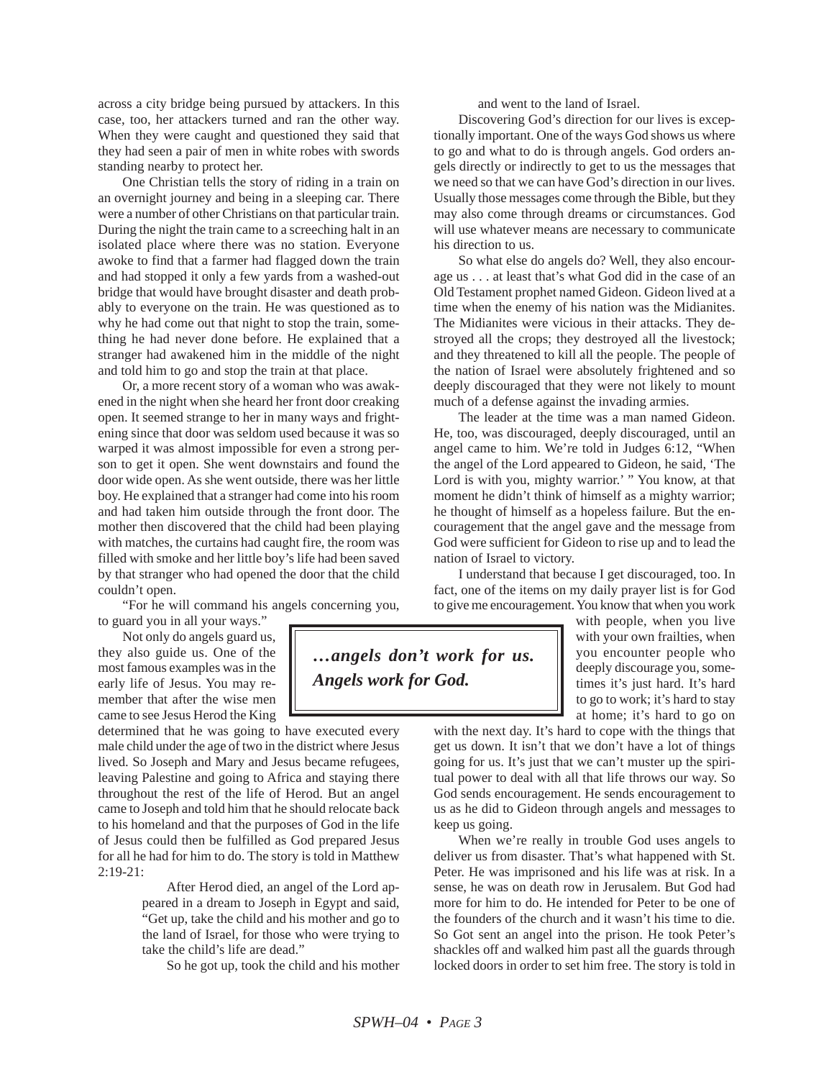across a city bridge being pursued by attackers. In this case, too, her attackers turned and ran the other way. When they were caught and questioned they said that they had seen a pair of men in white robes with swords standing nearby to protect her.

One Christian tells the story of riding in a train on an overnight journey and being in a sleeping car. There were a number of other Christians on that particular train. During the night the train came to a screeching halt in an isolated place where there was no station. Everyone awoke to find that a farmer had flagged down the train and had stopped it only a few yards from a washed-out bridge that would have brought disaster and death probably to everyone on the train. He was questioned as to why he had come out that night to stop the train, something he had never done before. He explained that a stranger had awakened him in the middle of the night and told him to go and stop the train at that place.

Or, a more recent story of a woman who was awakened in the night when she heard her front door creaking open. It seemed strange to her in many ways and frightening since that door was seldom used because it was so warped it was almost impossible for even a strong person to get it open. She went downstairs and found the door wide open. As she went outside, there was her little boy. He explained that a stranger had come into his room and had taken him outside through the front door. The mother then discovered that the child had been playing with matches, the curtains had caught fire, the room was filled with smoke and her little boy's life had been saved by that stranger who had opened the door that the child couldn't open.

"For he will command his angels concerning you, to guard you in all your ways."

Not only do angels guard us, they also guide us. One of the most famous examples was in the early life of Jesus. You may remember that after the wise men came to see Jesus Herod the King

determined that he was going to have executed every male child under the age of two in the district where Jesus lived. So Joseph and Mary and Jesus became refugees, leaving Palestine and going to Africa and staying there throughout the rest of the life of Herod. But an angel came to Joseph and told him that he should relocate back to his homeland and that the purposes of God in the life of Jesus could then be fulfilled as God prepared Jesus for all he had for him to do. The story is told in Matthew 2:19-21:

> After Herod died, an angel of the Lord appeared in a dream to Joseph in Egypt and said, "Get up, take the child and his mother and go to the land of Israel, for those who were trying to take the child's life are dead."

So he got up, took the child and his mother

and went to the land of Israel.

Discovering God's direction for our lives is exceptionally important. One of the ways God shows us where to go and what to do is through angels. God orders angels directly or indirectly to get to us the messages that we need so that we can have God's direction in our lives. Usually those messages come through the Bible, but they may also come through dreams or circumstances. God will use whatever means are necessary to communicate his direction to us.

So what else do angels do? Well, they also encourage us . . . at least that's what God did in the case of an Old Testament prophet named Gideon. Gideon lived at a time when the enemy of his nation was the Midianites. The Midianites were vicious in their attacks. They destroyed all the crops; they destroyed all the livestock; and they threatened to kill all the people. The people of the nation of Israel were absolutely frightened and so deeply discouraged that they were not likely to mount much of a defense against the invading armies.

The leader at the time was a man named Gideon. He, too, was discouraged, deeply discouraged, until an angel came to him. We're told in Judges 6:12, "When the angel of the Lord appeared to Gideon, he said, 'The Lord is with you, mighty warrior.' " You know, at that moment he didn't think of himself as a mighty warrior; he thought of himself as a hopeless failure. But the encouragement that the angel gave and the message from God were sufficient for Gideon to rise up and to lead the nation of Israel to victory.

I understand that because I get discouraged, too. In fact, one of the items on my daily prayer list is for God to give me encouragement. You know that when you work

> with people, when you live with your own frailties, when you encounter people who deeply discourage you, sometimes it's just hard. It's hard to go to work; it's hard to stay at home; it's hard to go on

with the next day. It's hard to cope with the things that get us down. It isn't that we don't have a lot of things going for us. It's just that we can't muster up the spiritual power to deal with all that life throws our way. So God sends encouragement. He sends encouragement to us as he did to Gideon through angels and messages to keep us going.

When we're really in trouble God uses angels to deliver us from disaster. That's what happened with St. Peter. He was imprisoned and his life was at risk. In a sense, he was on death row in Jerusalem. But God had more for him to do. He intended for Peter to be one of the founders of the church and it wasn't his time to die. So Got sent an angel into the prison. He took Peter's shackles off and walked him past all the guards through locked doors in order to set him free. The story is told in

*…angels don't work for us. Angels work for God.*